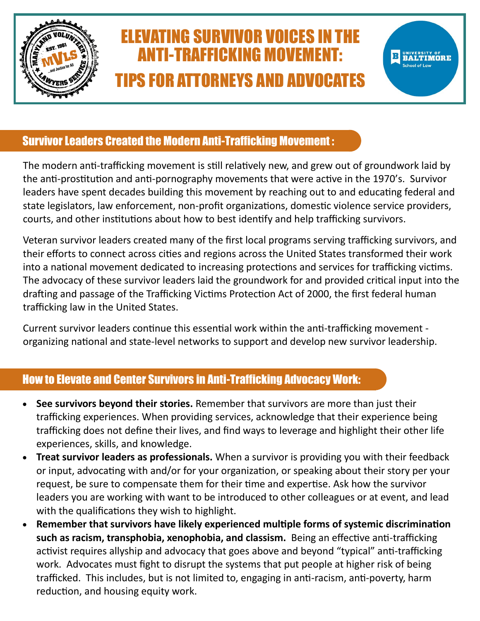

## ELEVATING SURVIVOR VOICES IN THE ANTI-TRAFFICKING MOVEMENT: TIPS FOR ATTORNEYS AND ADVOCATES

IMORE

## Survivor Leaders Created the Modern Anti-Trafficking Movement :

The modern anti-trafficking movement is still relatively new, and grew out of groundwork laid by the anti-prostitution and anti-pornography movements that were active in the 1970's. Survivor leaders have spent decades building this movement by reaching out to and educating federal and state legislators, law enforcement, non-profit organizations, domestic violence service providers, courts, and other institutions about how to best identify and help trafficking survivors.

Veteran survivor leaders created many of the first local programs serving trafficking survivors, and their efforts to connect across cities and regions across the United States transformed their work into a national movement dedicated to increasing protections and services for trafficking victims. The advocacy of these survivor leaders laid the groundwork for and provided critical input into the drafting and passage of the Trafficking Victims Protection Act of 2000, the first federal human trafficking law in the United States.

Current survivor leaders continue this essential work within the anti-trafficking movement organizing national and state-level networks to support and develop new survivor leadership.

## How to Elevate and Center Survivors in Anti-Trafficking Advocacy Work:

- **See survivors beyond their stories.** Remember that survivors are more than just their trafficking experiences. When providing services, acknowledge that their experience being trafficking does not define their lives, and find ways to leverage and highlight their other life experiences, skills, and knowledge.
- **Treat survivor leaders as professionals.** When a survivor is providing you with their feedback or input, advocating with and/or for your organization, or speaking about their story per your request, be sure to compensate them for their time and expertise. Ask how the survivor leaders you are working with want to be introduced to other colleagues or at event, and lead with the qualifications they wish to highlight.
- Remember that survivors have likely experienced multiple forms of systemic discrimination **such as racism, transphobia, xenophobia, and classism.** Being an effective anti-trafficking activist requires allyship and advocacy that goes above and beyond "typical" anti-trafficking work. Advocates must fight to disrupt the systems that put people at higher risk of being trafficked. This includes, but is not limited to, engaging in anti-racism, anti-poverty, harm reduction, and housing equity work.